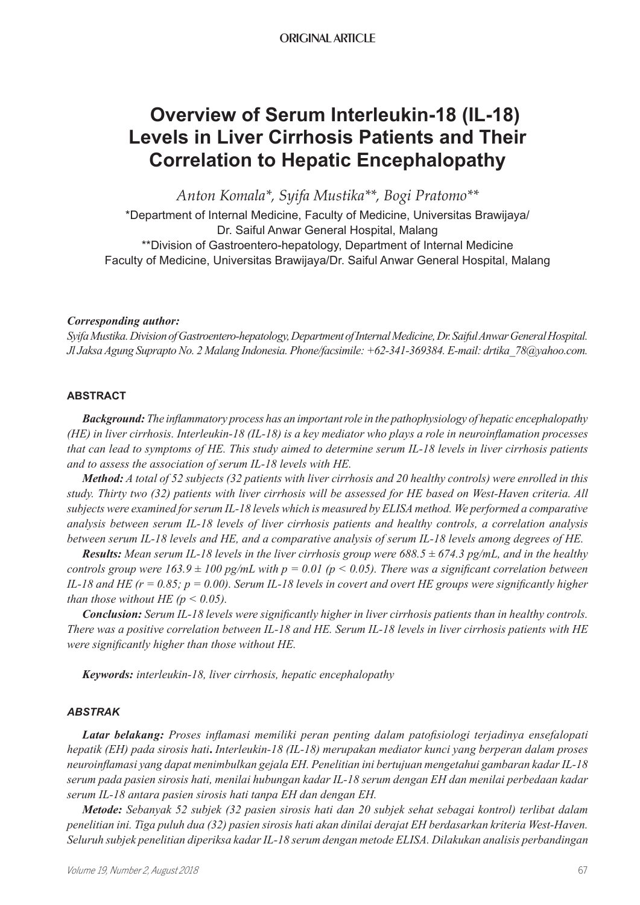# **Overview of Serum Interleukin-18 (IL-18) Levels in Liver Cirrhosis Patients and Their Correlation to Hepatic Encephalopathy**

*Anton Komala\*, Syifa Mustika\*\*, Bogi Pratomo\*\**

\*Department of Internal Medicine, Faculty of Medicine, Universitas Brawijaya/ Dr. Saiful Anwar General Hospital, Malang \*\*Division of Gastroentero-hepatology, Department of Internal Medicine Faculty of Medicine, Universitas Brawijaya/Dr. Saiful Anwar General Hospital, Malang

## *Corresponding author:*

*Syifa Mustika. Division of Gastroentero-hepatology, Department of Internal Medicine, Dr. Saiful Anwar General Hospital. Jl Jaksa Agung Suprapto No. 2 Malang Indonesia. Phone/facsimile: +62-341-369384. E-mail: drtika\_78@yahoo.com.*

#### **ABSTRACT**

*Background: The inflammatory process has an important role in the pathophysiology of hepatic encephalopathy (HE) in liver cirrhosis. Interleukin-18 (IL-18) is a key mediator who plays a role in neuroinflamation processes that can lead to symptoms of HE. This study aimed to determine serum IL-18 levels in liver cirrhosis patients and to assess the association of serum IL-18 levels with HE.* 

*Method: A total of 52 subjects (32 patients with liver cirrhosis and 20 healthy controls) were enrolled in this study. Thirty two (32) patients with liver cirrhosis will be assessed for HE based on West-Haven criteria. All subjects were examined for serum IL-18 levels which is measured by ELISA method. We performed a comparative analysis between serum IL-18 levels of liver cirrhosis patients and healthy controls, a correlation analysis between serum IL-18 levels and HE, and a comparative analysis of serum IL-18 levels among degrees of HE.*

*Results: Mean serum IL-18 levels in the liver cirrhosis group were 688.5 ± 674.3 pg/mL, and in the healthy controls group were 163.9*  $\pm$  100 pg/mL with  $p = 0.01$  ( $p < 0.05$ ). There was a significant correlation between *IL-18 and HE (r = 0.85; p = 0.00). Serum IL-18 levels in covert and overt HE groups were significantly higher than those without HE (* $p < 0.05$ *).* 

*Conclusion: Serum IL-18 levels were significantly higher in liver cirrhosis patients than in healthy controls. There was a positive correlation between IL-18 and HE. Serum IL-18 levels in liver cirrhosis patients with HE were significantly higher than those without HE.*

*Keywords: interleukin-18, liver cirrhosis, hepatic encephalopathy*

#### *ABSTRAK*

*Latar belakang: Proses inflamasi memiliki peran penting dalam patofisiologi terjadinya ensefalopati hepatik (EH) pada sirosis hati***.** *Interleukin-18 (IL-18) merupakan mediator kunci yang berperan dalam proses neuroinflamasi yang dapat menimbulkan gejala EH. Penelitian ini bertujuan mengetahui gambaran kadar IL-18 serum pada pasien sirosis hati, menilai hubungan kadar IL-18 serum dengan EH dan menilai perbedaan kadar serum IL-18 antara pasien sirosis hati tanpa EH dan dengan EH.*

*Metode: Sebanyak 52 subjek (32 pasien sirosis hati dan 20 subjek sehat sebagai kontrol) terlibat dalam penelitian ini. Tiga puluh dua (32) pasien sirosis hati akan dinilai derajat EH berdasarkan kriteria West-Haven. Seluruh subjek penelitian diperiksa kadar IL-18 serum dengan metode ELISA. Dilakukan analisis perbandingan*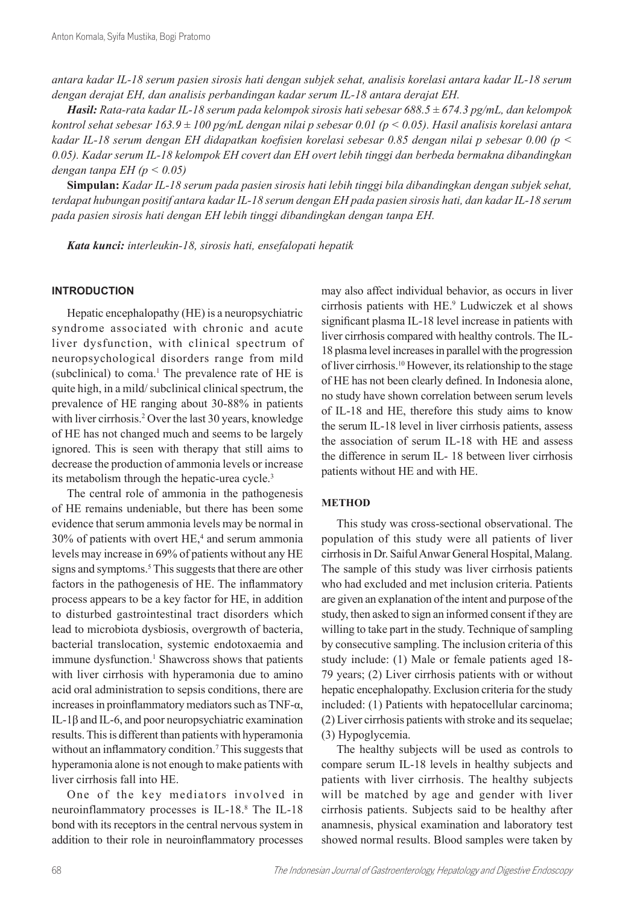*antara kadar IL-18 serum pasien sirosis hati dengan subjek sehat, analisis korelasi antara kadar IL-18 serum dengan derajat EH, dan analisis perbandingan kadar serum IL-18 antara derajat EH.*

*Hasil: Rata-rata kadar IL-18 serum pada kelompok sirosis hati sebesar 688.5 ± 674.3 pg/mL, dan kelompok kontrol sehat sebesar 163.9 ± 100 pg/mL dengan nilai p sebesar 0.01 (p < 0.05). Hasil analisis korelasi antara kadar IL-18 serum dengan EH didapatkan koefisien korelasi sebesar 0.85 dengan nilai p sebesar 0.00 (p < 0.05). Kadar serum IL-18 kelompok EH covert dan EH overt lebih tinggi dan berbeda bermakna dibandingkan dengan tanpa EH (p < 0.05)*

**Simpulan:** *Kadar IL-18 serum pada pasien sirosis hati lebih tinggi bila dibandingkan dengan subjek sehat, terdapat hubungan positif antara kadar IL-18 serum dengan EH pada pasien sirosis hati, dan kadar IL-18 serum pada pasien sirosis hati dengan EH lebih tinggi dibandingkan dengan tanpa EH.*

*Kata kunci: interleukin-18, sirosis hati, ensefalopati hepatik*

## **INTRODUCTION**

Hepatic encephalopathy (HE) is a neuropsychiatric syndrome associated with chronic and acute liver dysfunction, with clinical spectrum of neuropsychological disorders range from mild (subclinical) to coma.<sup>1</sup> The prevalence rate of HE is quite high, in a mild/ subclinical clinical spectrum, the prevalence of HE ranging about 30-88% in patients with liver cirrhosis.<sup>2</sup> Over the last 30 years, knowledge of HE has not changed much and seems to be largely ignored. This is seen with therapy that still aims to decrease the production of ammonia levels or increase its metabolism through the hepatic-urea cycle.<sup>3</sup>

The central role of ammonia in the pathogenesis of HE remains undeniable, but there has been some evidence that serum ammonia levels may be normal in  $30\%$  of patients with overt HE,<sup>4</sup> and serum ammonia levels may increase in 69% of patients without any HE signs and symptoms.<sup>5</sup> This suggests that there are other factors in the pathogenesis of HE. The inflammatory process appears to be a key factor for HE, in addition to disturbed gastrointestinal tract disorders which lead to microbiota dysbiosis, overgrowth of bacteria, bacterial translocation, systemic endotoxaemia and immune dysfunction.<sup>1</sup> Shawcross shows that patients with liver cirrhosis with hyperamonia due to amino acid oral administration to sepsis conditions, there are increases in proinflammatory mediators such as TNF-α, IL-1β and IL-6, and poor neuropsychiatric examination results. This is different than patients with hyperamonia without an inflammatory condition.<sup>7</sup> This suggests that hyperamonia alone is not enough to make patients with liver cirrhosis fall into HE.

One of the key mediators involved in neuroinflammatory processes is IL-18.<sup>8</sup> The IL-18 bond with its receptors in the central nervous system in addition to their role in neuroinflammatory processes

may also affect individual behavior, as occurs in liver cirrhosis patients with HE.<sup>9</sup> Ludwiczek et al shows significant plasma IL-18 level increase in patients with liver cirrhosis compared with healthy controls. The IL-18 plasma level increases in parallel with the progression of liver cirrhosis.<sup>10</sup> However, its relationship to the stage of HE has not been clearly defined. In Indonesia alone, no study have shown correlation between serum levels of IL-18 and HE, therefore this study aims to know the serum IL-18 level in liver cirrhosis patients, assess the association of serum IL-18 with HE and assess the difference in serum IL- 18 between liver cirrhosis patients without HE and with HE.

# **METHOD**

This study was cross-sectional observational. The population of this study were all patients of liver cirrhosis in Dr. Saiful Anwar General Hospital, Malang. The sample of this study was liver cirrhosis patients who had excluded and met inclusion criteria. Patients are given an explanation of the intent and purpose of the study, then asked to sign an informed consent if they are willing to take part in the study. Technique of sampling by consecutive sampling. The inclusion criteria of this study include: (1) Male or female patients aged 18- 79 years; (2) Liver cirrhosis patients with or without hepatic encephalopathy. Exclusion criteria for the study included: (1) Patients with hepatocellular carcinoma; (2) Liver cirrhosis patients with stroke and its sequelae; (3) Hypoglycemia.

The healthy subjects will be used as controls to compare serum IL-18 levels in healthy subjects and patients with liver cirrhosis. The healthy subjects will be matched by age and gender with liver cirrhosis patients. Subjects said to be healthy after anamnesis, physical examination and laboratory test showed normal results. Blood samples were taken by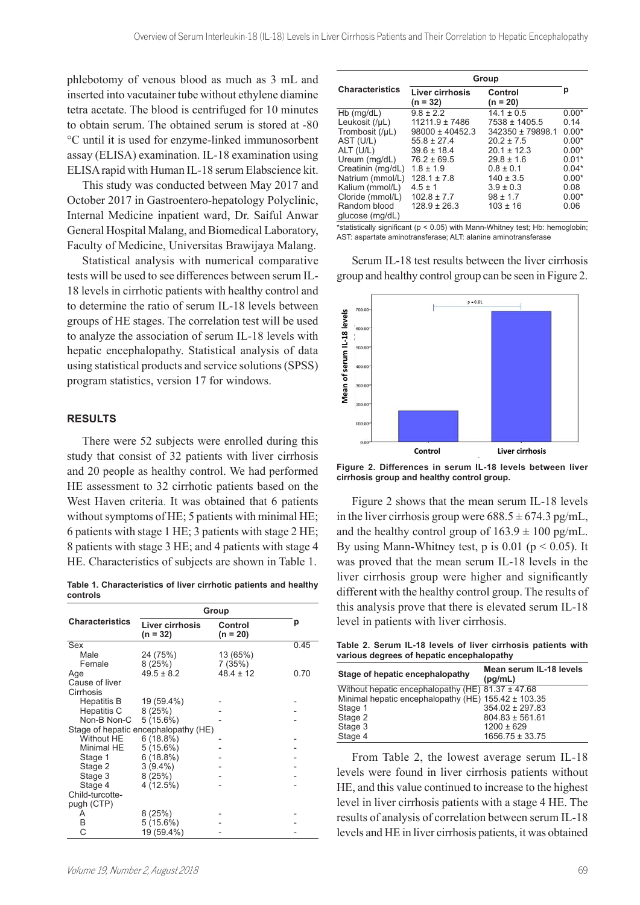phlebotomy of venous blood as much as 3 mL and inserted into vacutainer tube without ethylene diamine tetra acetate. The blood is centrifuged for 10 minutes to obtain serum. The obtained serum is stored at -80 °C until it is used for enzyme-linked immunosorbent assay (ELISA) examination. IL-18 examination using ELISA rapid with Human IL-18 serum Elabscience kit.

This study was conducted between May 2017 and October 2017 in Gastroentero-hepatology Polyclinic, Internal Medicine inpatient ward, Dr. Saiful Anwar General Hospital Malang, and Biomedical Laboratory, Faculty of Medicine, Universitas Brawijaya Malang.

Statistical analysis with numerical comparative tests will be used to see differences between serum IL-18 levels in cirrhotic patients with healthy control and to determine the ratio of serum IL-18 levels between groups of HE stages. The correlation test will be used to analyze the association of serum IL-18 levels with hepatic encephalopathy. Statistical analysis of data using statistical products and service solutions (SPSS) program statistics, version 17 for windows.

#### **RESULTS**

There were 52 subjects were enrolled during this study that consist of 32 patients with liver cirrhosis and 20 people as healthy control. We had performed HE assessment to 32 cirrhotic patients based on the West Haven criteria. It was obtained that 6 patients without symptoms of HE; 5 patients with minimal HE; 6 patients with stage 1 HE; 3 patients with stage 2 HE; 8 patients with stage 3 HE; and 4 patients with stage 4 HE. Characteristics of subjects are shown in Table 1.

**Table 1. Characteristics of liver cirrhotic patients and healthy controls**

|                                      | Group                         |                              |      |
|--------------------------------------|-------------------------------|------------------------------|------|
| <b>Characteristics</b>               | Liver cirrhosis<br>$(n = 32)$ | <b>Control</b><br>$(n = 20)$ | р    |
| Sex                                  |                               |                              | 0.45 |
| Male                                 | 24 (75%)                      | 13 (65%)                     |      |
| Female                               | 8(25%)                        | 7(35%)                       |      |
| Age                                  | $49.5 \pm 8.2$                | $48.4 \pm 12$                | 0.70 |
| Cause of liver                       |                               |                              |      |
| Cirrhosis                            |                               |                              |      |
| Hepatitis B                          | 19 (59.4%)                    |                              |      |
| Hepatitis C                          | 8(25%)                        |                              |      |
| Non-B Non-C                          | 5 (15.6%)                     |                              |      |
| Stage of hepatic encephalopathy (HE) |                               |                              |      |
| Without HE                           | 6(18.8%)                      |                              |      |
| Minimal HE                           | 5 (15.6%)                     |                              |      |
| Stage 1                              | 6(18.8%)                      |                              |      |
| Stage 2                              | $3(9.4\%)$                    |                              |      |
| Stage 3                              | 8(25%)                        |                              |      |
| Stage 4                              | 4(12.5%)                      |                              |      |
| Child-turcotte-                      |                               |                              |      |
| pugh (CTP)                           |                               |                              |      |
| A                                    | 8(25%)                        |                              |      |
| Β                                    | 5 (15.6%)                     |                              |      |
| C                                    | 19 (59.4%)                    |                              |      |

| - | Minimal hepatic encephalopathy (HE) $155.42 \pm 103.35$ |                     |
|---|---------------------------------------------------------|---------------------|
| - | Stage 1                                                 | $354.02 \pm 297.83$ |
| - | Stage 2                                                 | $804.83 \pm 561.61$ |
|   | Stage 3                                                 | $1200 \pm 629$      |
|   | Stage 4                                                 | $1656.75 \pm 33.75$ |

From Table 2, the lowest average serum IL-18 levels were found in liver cirrhosis patients without HE, and this value continued to increase to the highest level in liver cirrhosis patients with a stage 4 HE. The results of analysis of correlation between serum IL-18 levels and HE in liver cirrhosis patients, it was obtained

|                                 | Group                         |                       |         |
|---------------------------------|-------------------------------|-----------------------|---------|
| <b>Characteristics</b>          | Liver cirrhosis<br>$(n = 32)$ | Control<br>$(n = 20)$ | р       |
| $Hb$ (mg/dL)                    | $9.8 \pm 2.2$                 | $14.1 \pm 0.5$        | $0.00*$ |
| Leukosit (/µL)                  | $11211.9 \pm 7486$            | 7538 ± 1405.5         | 0.14    |
| Trombosit (/µL)                 | $98000 \pm 40452.3$           | 342350 ± 79898.1      | $0.00*$ |
| AST (U/L)                       | $55.8 \pm 27.4$               | $20.2 \pm 7.5$        | $0.00*$ |
| ALT (U/L)                       | $39.6 \pm 18.4$               | $20.1 \pm 12.3$       | $0.00*$ |
| Ureum (mg/dL)                   | $76.2 \pm 69.5$               | $29.8 \pm 1.6$        | $0.01*$ |
| Creatinin (mg/dL)               | $1.8 \pm 1.9$                 | $0.8 \pm 0.1$         | $0.04*$ |
| Natrium (mmol/L)                | $128.1 \pm 7.8$               | $140 \pm 3.5$         | $0.00*$ |
| Kalium (mmol/L)                 | $4.5 \pm 1$                   | $3.9 \pm 0.3$         | 0.08    |
| Cloride (mmol/L)                | $102.8 \pm 7.7$               | $98 \pm 1.7$          | $0.00*$ |
| Random blood<br>glucose (mg/dL) | $128.9 \pm 26.3$              | $103 \pm 16$          | 0.06    |

\*statistically significant (p < 0.05) with Mann-Whitney test; Hb: hemoglobin; AST: aspartate aminotransferase; ALT: alanine aminotransferase

Serum IL-18 test results between the liver cirrhosis group and healthy control group can be seen in Figure 2.



**Figure 2. Differences in serum IL-18 levels between liver cirrhosis group and healthy control group.**

Figure 2 shows that the mean serum IL-18 levels in the liver cirrhosis group were  $688.5 \pm 674.3$  pg/mL, and the healthy control group of  $163.9 \pm 100$  pg/mL. By using Mann-Whitney test, p is  $0.01$  ( $p < 0.05$ ). It was proved that the mean serum IL-18 levels in the liver cirrhosis group were higher and significantly different with the healthy control group. The results of this analysis prove that there is elevated serum IL-18 level in patients with liver cirrhosis.

**Table 2. Serum IL-18 levels of liver cirrhosis patients with various degrees of hepatic encephalopathy Stage of hepatic encephalopathy Mean serum IL-18 levels** 

Without hepatic encephalopathy (HE) 81.37 ± 47.68

**(pg/mL)**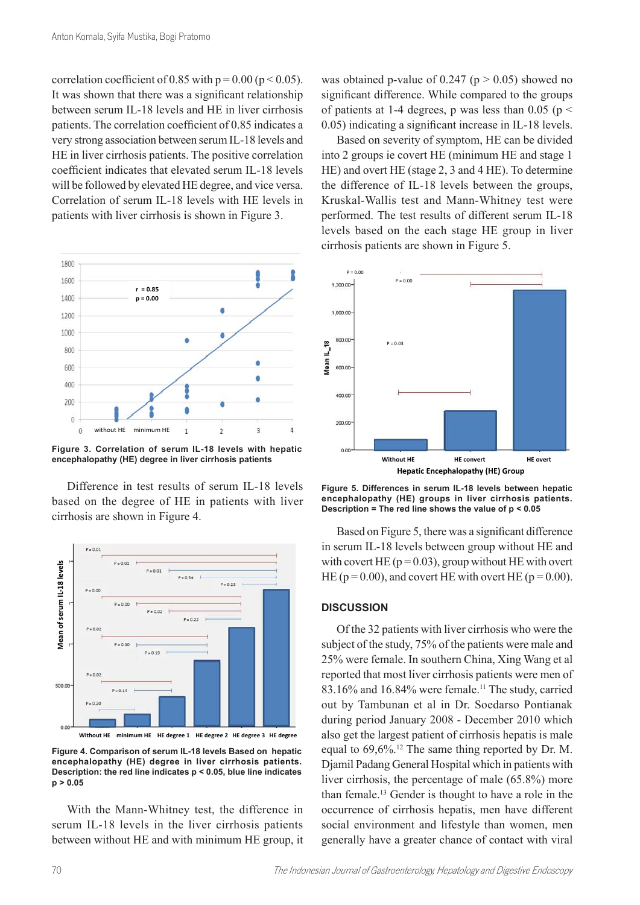correlation coefficient of 0.85 with  $p = 0.00$  ( $p < 0.05$ ). It was shown that there was a significant relationship between serum IL-18 levels and HE in liver cirrhosis patients. The correlation coefficient of 0.85 indicates a very strong association between serum IL-18 levels and HE in liver cirrhosis patients. The positive correlation coefficient indicates that elevated serum IL-18 levels will be followed by elevated HE degree, and vice versa. Correlation of serum IL-18 levels with HE levels in patients with liver cirrhosis is shown in Figure 3.



**Figure 3. Correlation of serum IL-18 levels with hepatic Figure 3. Correlation of serum IL-18 levels with hepatic encephalopathy (HE) degree in liver cirrhosis encephalopathy (HE) degree in liver cirrhosis patients patients Figure 3. Correlation of serum IL-18 levels with hepatic encephalopathy (HE) degree in liver cirrhosis** 

Difference in test results of serum IL-18 levels based on the degree of HE in patients with liver cirrhosis are shown in Figure 4.



With the Mann-Whitney test, the difference in occur serum IL-18 levels in the liver cirrhosis patients between without HE and with minimum HE group, it

was obtained p-value of  $0.247$  (p  $> 0.05$ ) showed no significant difference. While compared to the groups of patients at 1-4 degrees, p was less than 0.05 ( $p \le$ 0.05) indicating a significant increase in IL-18 levels.

Based on severity of symptom, HE can be divided into 2 groups ie covert HE (minimum HE and stage 1 HE) and overt HE (stage 2, 3 and 4 HE). To determine the difference of IL-18 levels between the groups, Kruskal-Wallis test and Mann-Whitney test were performed. The test results of different serum IL-18 levels based on the each stage HE group in liver



s patients are shown in Figure 5.

Figure 5. Differences in serum IL-18 levels between hepatic **encephalopathy (HE) groups in liver cirrhosis patients. Description = The red line shows the value of p < 0.05**

Based on Figure 5, there was a significant difference in serum IL-18 levels between group without HE and with covert HE ( $p = 0.03$ ), group without HE with overt HE ( $p = 0.00$ ), and covert HE with overt HE ( $p = 0.00$ ).

## **DISCUSSION**

Of the 32 patients with liver cirrhosis who were the subject of the study, 75% of the patients were male and 25% were female. In southern China, Xing Wang et al reported that most liver cirrhosis patients were men of  $83.16\%$  and  $16.84\%$  were female.<sup>11</sup> The study, carried out by Tambunan et al in Dr. Soedarso Pontianak during period January 2008 - December 2010 which also get the largest patient of cirrhosis hepatis is male equal to 69,6%.<sup>12</sup> The same thing reported by Dr. M. Djamil Padang General Hospital which in patients with liver cirrhosis, the percentage of male (65.8%) more than female.<sup>13</sup> Gender is thought to have a role in the occurrence of cirrhosis hepatis, men have different social environment and lifestyle than women, men generally have a greater chance of contact with viral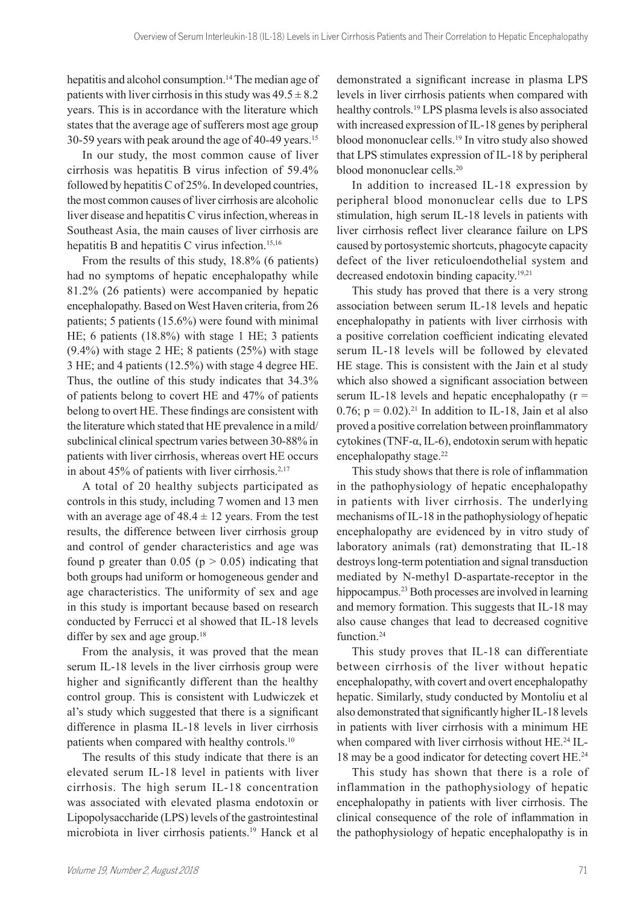hepatitis and alcohol consumption.<sup>14</sup> The median age of patients with liver cirrhosis in this study was  $49.5 \pm 8.2$ years. This is in accordance with the literature which states that the average age of sufferers most age group 30-59 years with peak around the age of 40-49 years.<sup>15</sup>

In our study, the most common cause of liver cirrhosis was hepatitis B virus infection of 59.4% followed by hepatitis C of 25%. In developed countries, the most common causes of liver cirrhosis are alcoholic liver disease and hepatitis C virus infection,whereas in Southeast Asia, the main causes of liver cirrhosis are hepatitis B and hepatitis C virus infection.<sup>15,16</sup>

From the results of this study, 18.8% (6 patients) had no symptoms of hepatic encephalopathy while 81.2% (26 patients) were accompanied by hepatic encephalopathy. Based on West Haven criteria, from 26 patients; 5 patients (15.6%) were found with minimal HE; 6 patients (18.8%) with stage 1 HE; 3 patients (9.4%) with stage 2 HE; 8 patients (25%) with stage 3 HE; and 4 patients (12.5%) with stage 4 degree HE. Thus, the outline of this study indicates that 34.3% of patients belong to covert HE and 47% of patients belong to overt HE. These findings are consistent with the literature which stated that HE prevalence in a mild/ subclinical clinical spectrum varies between 30-88% in patients with liver cirrhosis, whereas overt HE occurs in about 45% of patients with liver cirrhosis. $2,17$ 

A total of 20 healthy subjects participated as controls in this study, including 7 women and 13 men with an average age of  $48.4 \pm 12$  years. From the test results, the difference between liver cirrhosis group and control of gender characteristics and age was found p greater than  $0.05$  (p  $> 0.05$ ) indicating that both groups had uniform or homogeneous gender and age characteristics. The uniformity of sex and age in this study is important because based on research conducted by Ferrucci et al showed that IL-18 levels differ by sex and age group.<sup>18</sup>

From the analysis, it was proved that the mean serum IL-18 levels in the liver cirrhosis group were higher and significantly different than the healthy control group. This is consistent with Ludwiczek et al's study which suggested that there is a significant difference in plasma IL-18 levels in liver cirrhosis patients when compared with healthy controls.<sup>10</sup>

The results of this study indicate that there is an elevated serum IL-18 level in patients with liver cirrhosis. The high serum IL-18 concentration was associated with elevated plasma endotoxin or Lipopolysaccharide (LPS) levels of the gastrointestinal microbiota in liver cirrhosis patients.<sup>19</sup> Hanck et al

demonstrated a significant increase in plasma LPS levels in liver cirrhosis patients when compared with healthy controls.<sup>19</sup> LPS plasma levels is also associated with increased expression of IL-18 genes by peripheral blood mononuclear cells.<sup>19</sup> In vitro study also showed that LPS stimulates expression of IL-18 by peripheral blood mononuclear cells.<sup>20</sup>

In addition to increased IL-18 expression by peripheral blood mononuclear cells due to LPS stimulation, high serum IL-18 levels in patients with liver cirrhosis reflect liver clearance failure on LPS caused by portosystemic shortcuts, phagocyte capacity defect of the liver reticuloendothelial system and decreased endotoxin binding capacity.19,21

This study has proved that there is a very strong association between serum IL-18 levels and hepatic encephalopathy in patients with liver cirrhosis with a positive correlation coefficient indicating elevated serum IL-18 levels will be followed by elevated HE stage. This is consistent with the Jain et al study which also showed a significant association between serum IL-18 levels and hepatic encephalopathy  $(r =$ 0.76;  $p = 0.02$ ).<sup>21</sup> In addition to IL-18, Jain et al also proved a positive correlation between proinflammatory cytokines (TNF-α, IL-6), endotoxin serum with hepatic encephalopathy stage.<sup>22</sup>

This study shows that there is role of inflammation in the pathophysiology of hepatic encephalopathy in patients with liver cirrhosis. The underlying mechanisms of IL-18 in the pathophysiology of hepatic encephalopathy are evidenced by in vitro study of laboratory animals (rat) demonstrating that IL-18 destroys long-term potentiation and signal transduction mediated by N-methyl D-aspartate-receptor in the hippocampus.<sup>23</sup> Both processes are involved in learning and memory formation. This suggests that IL-18 may also cause changes that lead to decreased cognitive function.<sup>24</sup>

This study proves that IL-18 can differentiate between cirrhosis of the liver without hepatic encephalopathy, with covert and overt encephalopathy hepatic. Similarly, study conducted by Montoliu et al also demonstrated that significantly higher IL-18 levels in patients with liver cirrhosis with a minimum HE when compared with liver cirrhosis without HE.<sup>24</sup> IL-18 may be a good indicator for detecting covert HE.<sup>24</sup>

This study has shown that there is a role of inflammation in the pathophysiology of hepatic encephalopathy in patients with liver cirrhosis. The clinical consequence of the role of inflammation in the pathophysiology of hepatic encephalopathy is in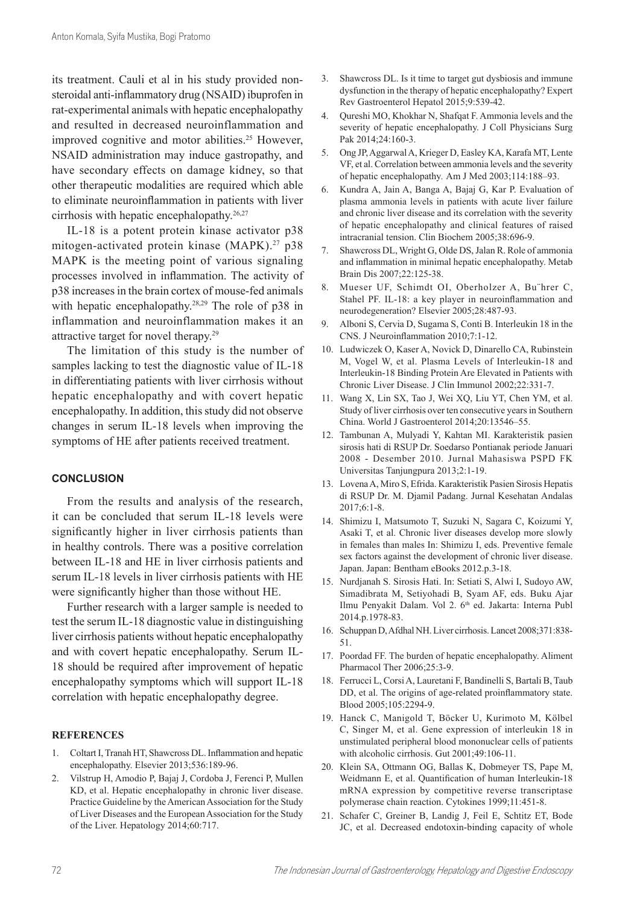its treatment. Cauli et al in his study provided nonsteroidal anti-inflammatory drug (NSAID) ibuprofen in rat-experimental animals with hepatic encephalopathy and resulted in decreased neuroinflammation and improved cognitive and motor abilities.<sup>25</sup> However, NSAID administration may induce gastropathy, and have secondary effects on damage kidney, so that other therapeutic modalities are required which able to eliminate neuroinflammation in patients with liver cirrhosis with hepatic encephalopathy.26,27

IL-18 is a potent protein kinase activator p38 mitogen-activated protein kinase (MAPK).<sup>27</sup> p38 MAPK is the meeting point of various signaling processes involved in inflammation. The activity of p38 increases in the brain cortex of mouse-fed animals with hepatic encephalopathy.<sup>28,29</sup> The role of p38 in inflammation and neuroinflammation makes it an attractive target for novel therapy.<sup>29</sup>

The limitation of this study is the number of samples lacking to test the diagnostic value of IL-18 in differentiating patients with liver cirrhosis without hepatic encephalopathy and with covert hepatic encephalopathy. In addition, this study did not observe changes in serum IL-18 levels when improving the symptoms of HE after patients received treatment.

# **CONCLUSION**

From the results and analysis of the research, it can be concluded that serum IL-18 levels were significantly higher in liver cirrhosis patients than in healthy controls. There was a positive correlation between IL-18 and HE in liver cirrhosis patients and serum IL-18 levels in liver cirrhosis patients with HE were significantly higher than those without HE.

Further research with a larger sample is needed to test the serum IL-18 diagnostic value in distinguishing liver cirrhosis patients without hepatic encephalopathy and with covert hepatic encephalopathy. Serum IL-18 should be required after improvement of hepatic encephalopathy symptoms which will support IL-18 correlation with hepatic encephalopathy degree.

### **REFERENCES**

- 1. Coltart I, Tranah HT, Shawcross DL. Inflammation and hepatic encephalopathy. Elsevier 2013;536:189-96.
- 2. Vilstrup H, Amodio P, Bajaj J, Cordoba J, Ferenci P, Mullen KD, et al. Hepatic encephalopathy in chronic liver disease. Practice Guideline by the American Association for the Study of Liver Diseases and the European Association for the Study of the Liver. Hepatology 2014;60:717.
- 3. Shawcross DL. Is it time to target gut dysbiosis and immune dysfunction in the therapy of hepatic encephalopathy? Expert Rev Gastroenterol Hepatol 2015;9:539-42.
- 4. Qureshi MO, Khokhar N, Shafqat F. Ammonia levels and the severity of hepatic encephalopathy. J Coll Physicians Surg Pak 2014;24:160-3.
- 5. Ong JP, Aggarwal A, Krieger D, Easley KA, Karafa MT, Lente VF, et al. Correlation between ammonia levels and the severity of hepatic encephalopathy*.* Am J Med 2003;114:188–93.
- 6. Kundra A, Jain A, Banga A, Bajaj G, Kar P. Evaluation of plasma ammonia levels in patients with acute liver failure and chronic liver disease and its correlation with the severity of hepatic encephalopathy and clinical features of raised intracranial tension. Clin Biochem 2005;38:696-9.
- 7. Shawcross DL, Wright G, Olde DS, Jalan R. Role of ammonia and inflammation in minimal hepatic encephalopathy. Metab Brain Dis 2007;22:125-38.
- 8. Mueser UF, Schimdt OI, Oberholzer A, Bu¨hrer C, Stahel PF. IL-18: a key player in neuroinflammation and neurodegeneration? Elsevier 2005;28:487-93.
- 9. Alboni S, Cervia D, Sugama S, Conti B. Interleukin 18 in the CNS. J Neuroinflammation 2010;7:1-12.
- 10. Ludwiczek O, Kaser A, Novick D, Dinarello CA, Rubinstein M, Vogel W, et al. Plasma Levels of Interleukin-18 and Interleukin-18 Binding Protein Are Elevated in Patients with Chronic Liver Disease. J Clin Immunol 2002;22:331-7.
- 11. Wang X, Lin SX, Tao J, Wei XQ, Liu YT, Chen YM, et al. Study of liver cirrhosis over ten consecutive years in Southern China. World J Gastroenterol 2014;20:13546–55.
- 12. Tambunan A, Mulyadi Y, Kahtan MI. Karakteristik pasien sirosis hati di RSUP Dr. Soedarso Pontianak periode Januari 2008 - Desember 2010. Jurnal Mahasiswa PSPD FK Universitas Tanjungpura 2013;2:1-19.
- 13. Lovena A, Miro S, Efrida. Karakteristik Pasien Sirosis Hepatis di RSUP Dr. M. Djamil Padang. Jurnal Kesehatan Andalas 2017;6:1-8.
- 14. Shimizu I, Matsumoto T, Suzuki N, Sagara C, Koizumi Y, Asaki T, et al. Chronic liver diseases develop more slowly in females than males In: Shimizu I, eds. Preventive female sex factors against the development of chronic liver disease. Japan. Japan: Bentham eBooks 2012.p.3-18.
- 15. Nurdjanah S. Sirosis Hati. In: Setiati S, Alwi I, Sudoyo AW, Simadibrata M, Setiyohadi B, Syam AF, eds. Buku Ajar Ilmu Penyakit Dalam. Vol 2. 6<sup>th</sup> ed. Jakarta: Interna Publ 2014.p.1978-83.
- 16. Schuppan D, Afdhal NH. Liver cirrhosis. Lancet 2008;371:838- 51.
- 17. Poordad FF. The burden of hepatic encephalopathy. Aliment Pharmacol Ther 2006;25:3-9.
- 18. Ferrucci L, Corsi A, Lauretani F, Bandinelli S, Bartali B, Taub DD, et al. The origins of age-related proinflammatory state. Blood 2005;105:2294-9.
- 19. Hanck C, Manigold T, Böcker U, Kurimoto M, Kölbel C, Singer M, et al. Gene expression of interleukin 18 in unstimulated peripheral blood mononuclear cells of patients with alcoholic cirrhosis. Gut 2001;49:106-11.
- 20. Klein SA, Ottmann OG, Ballas K, Dobmeyer TS, Pape M, Weidmann E, et al. Quantification of human Interleukin-18 mRNA expression by competitive reverse transcriptase polymerase chain reaction. Cytokines 1999;11:451-8.
- 21. Schafer C, Greiner B, Landig J, Feil E, Schtitz ET, Bode JC, et al. Decreased endotoxin-binding capacity of whole